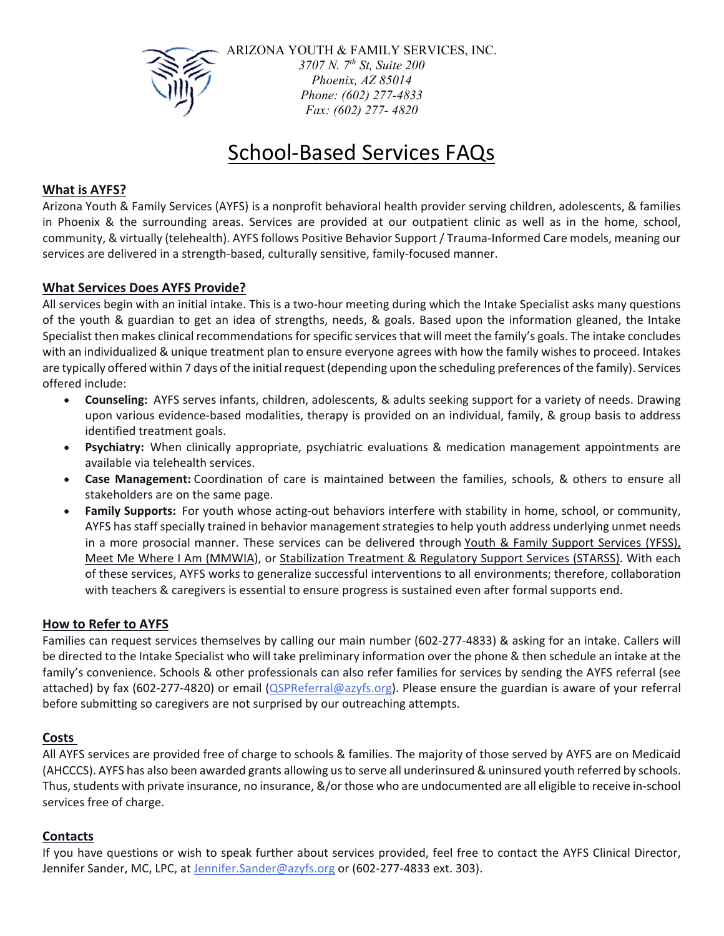

ARIZONA YOUTH & FAMILY SERVICES, INC. *3707 N. 7th St, Suite 200 Phoenix, AZ 85014 Phone: (602) 277-4833 Fax: (602) 277- 4820* 

# School‐Based Services FAQs

### **What is AYFS?**

 Arizona Youth & Family Services (AYFS) is a nonprofit behavioral health provider serving children, adolescents, & families in Phoenix & the surrounding areas. Services are provided at our outpatient clinic as well as in the home, school, community, & virtually (telehealth). AYFS follows Positive Behavior Support / Trauma‐Informed Care models, meaning our services are delivered in a strength‐based, culturally sensitive, family‐focused manner.

#### **What Services Does AYFS Provide?**

 All services begin with an initial intake. This is a two‐hour meeting during which the Intake Specialist asks many questions of the youth & guardian to get an idea of strengths, needs, & goals. Based upon the information gleaned, the Intake Specialist then makes clinical recommendations for specific services that will meet the family's goals. The intake concludes with an individualized & unique treatment plan to ensure everyone agrees with how the family wishes to proceed. Intakes are typically offered within 7 days of the initial request (depending upon the scheduling preferences of the family). Services offered include:

- **Counseling:** AYFS serves infants, children, adolescents, & adults seeking support for a variety of needs. Drawing upon various evidence‐based modalities, therapy is provided on an individual, family, & group basis to address identified treatment goals.
- **Psychiatry:** When clinically appropriate, psychiatric evaluations & medication management appointments are available via telehealth services.
- **Case Management:** Coordination of care is maintained between the families, schools, & others to ensure all stakeholders are on the same page.
- **Family Supports:** For youth whose acting-out behaviors interfere with stability in home, school, or community, AYFS has staff specially trained in behavior management strategies to help youth address underlying unmet needs in a more prosocial manner. These services can be delivered through Youth & Family Support Services (YFSS), Meet Me Where I Am (MMWIA), or Stabilization Treatment & Regulatory Support Services (STARSS). With each of these services, AYFS works to generalize successful interventions to all environments; therefore, collaboration with teachers & caregivers is essential to ensure progress is sustained even after formal supports end.

#### **How to Refer to AYFS**

Families can request services themselves by calling our main number (602‐277‐4833) & asking for an intake. Callers will be directed to the Intake Specialist who will take preliminary information over the phone & then schedule an intake at the family's convenience. Schools & other professionals can also refer families for services by sending the AYFS referral (see attached) by fax (602-277-4820) or email (QSPReferral@azyfs.org). Please ensure the guardian is aware of your referral before submitting so caregivers are not surprised by our outreaching attempts.

#### **Costs**

 All AYFS services are provided free of charge to schools & families. The majority of those served by AYFS are on Medicaid (AHCCCS). AYFS has also been awarded grants allowing usto serve all underinsured & uninsured youth referred by schools. Thus, students with private insurance, no insurance, &/or those who are undocumented are all eligible to receive in-school services free of charge.

#### **Contacts**

If you have questions or wish to speak further about services provided, feel free to contact the AYFS Clinical Director, Jennifer Sander, MC, LPC, at Jennifer.Sander@azyfs.org or (602-277-4833 ext. 303).